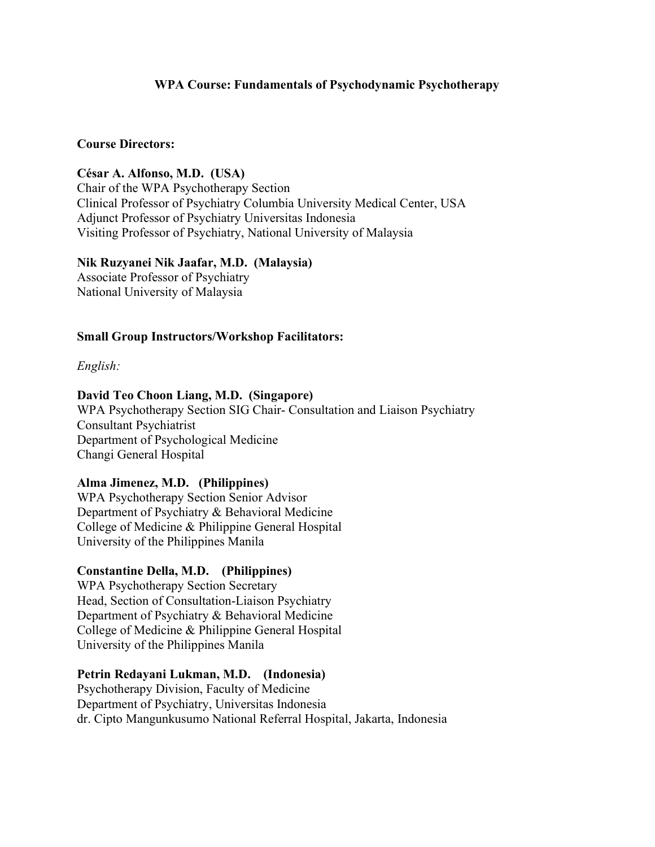# WPA Course: Fundamentals of Psychodynamic Psychotherapy

#### Course Directors:

César A. Alfonso, M.D. (USA) Chair of the WPA Psychotherapy Section Clinical Professor of Psychiatry Columbia University Medical Center, USA Adjunct Professor of Psychiatry Universitas Indonesia Visiting Professor of Psychiatry, National University of Malaysia

Nik Ruzyanei Nik Jaafar, M.D. (Malaysia) Associate Professor of Psychiatry National University of Malaysia

#### Small Group Instructors/Workshop Facilitators:

English:

#### David Teo Choon Liang, M.D. (Singapore)

WPA Psychotherapy Section SIG Chair- Consultation and Liaison Psychiatry Consultant Psychiatrist Department of Psychological Medicine Changi General Hospital

#### Alma Jimenez, M.D. (Philippines)

WPA Psychotherapy Section Senior Advisor Department of Psychiatry & Behavioral Medicine College of Medicine & Philippine General Hospital University of the Philippines Manila

#### Constantine Della, M.D. (Philippines)

WPA Psychotherapy Section Secretary Head, Section of Consultation-Liaison Psychiatry Department of Psychiatry & Behavioral Medicine College of Medicine & Philippine General Hospital University of the Philippines Manila

#### Petrin Redayani Lukman, M.D. (Indonesia)

Psychotherapy Division, Faculty of Medicine Department of Psychiatry, Universitas Indonesia dr. Cipto Mangunkusumo National Referral Hospital, Jakarta, Indonesia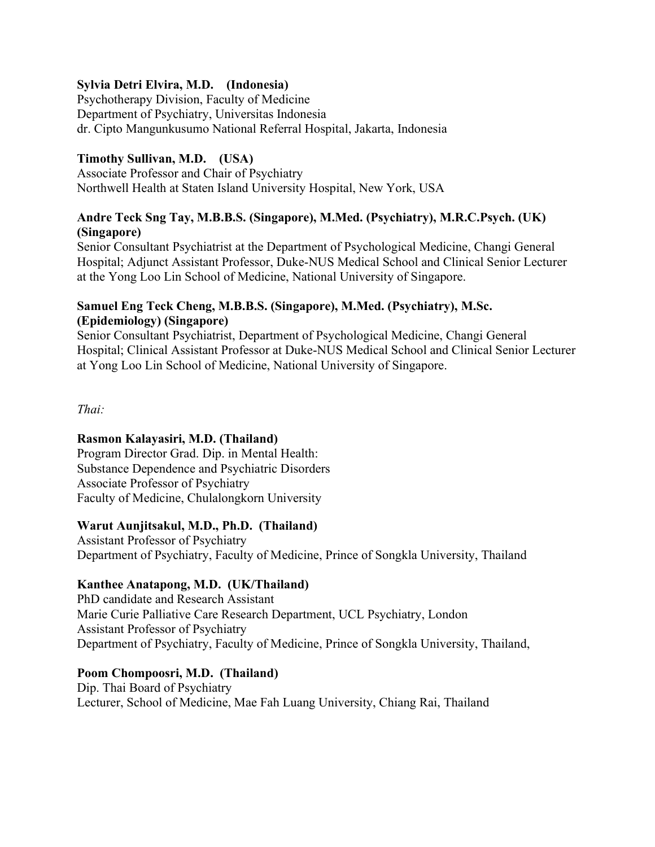# Sylvia Detri Elvira, M.D. (Indonesia)

Psychotherapy Division, Faculty of Medicine Department of Psychiatry, Universitas Indonesia dr. Cipto Mangunkusumo National Referral Hospital, Jakarta, Indonesia

# Timothy Sullivan, M.D. (USA)

Associate Professor and Chair of Psychiatry Northwell Health at Staten Island University Hospital, New York, USA

# Andre Teck Sng Tay, M.B.B.S. (Singapore), M.Med. (Psychiatry), M.R.C.Psych. (UK) (Singapore)

Senior Consultant Psychiatrist at the Department of Psychological Medicine, Changi General Hospital; Adjunct Assistant Professor, Duke-NUS Medical School and Clinical Senior Lecturer at the Yong Loo Lin School of Medicine, National University of Singapore.

## Samuel Eng Teck Cheng, M.B.B.S. (Singapore), M.Med. (Psychiatry), M.Sc. (Epidemiology) (Singapore)

Senior Consultant Psychiatrist, Department of Psychological Medicine, Changi General Hospital; Clinical Assistant Professor at Duke-NUS Medical School and Clinical Senior Lecturer at Yong Loo Lin School of Medicine, National University of Singapore.

Thai:

# Rasmon Kalayasiri, M.D. (Thailand)

Program Director Grad. Dip. in Mental Health: Substance Dependence and Psychiatric Disorders Associate Professor of Psychiatry Faculty of Medicine, Chulalongkorn University

#### Warut Aunjitsakul, M.D., Ph.D. (Thailand)

Assistant Professor of Psychiatry Department of Psychiatry, Faculty of Medicine, Prince of Songkla University, Thailand

# Kanthee Anatapong, M.D. (UK/Thailand)

PhD candidate and Research Assistant Marie Curie Palliative Care Research Department, UCL Psychiatry, London Assistant Professor of Psychiatry Department of Psychiatry, Faculty of Medicine, Prince of Songkla University, Thailand,

# Poom Chompoosri, M.D. (Thailand)

Dip. Thai Board of Psychiatry Lecturer, School of Medicine, Mae Fah Luang University, Chiang Rai, Thailand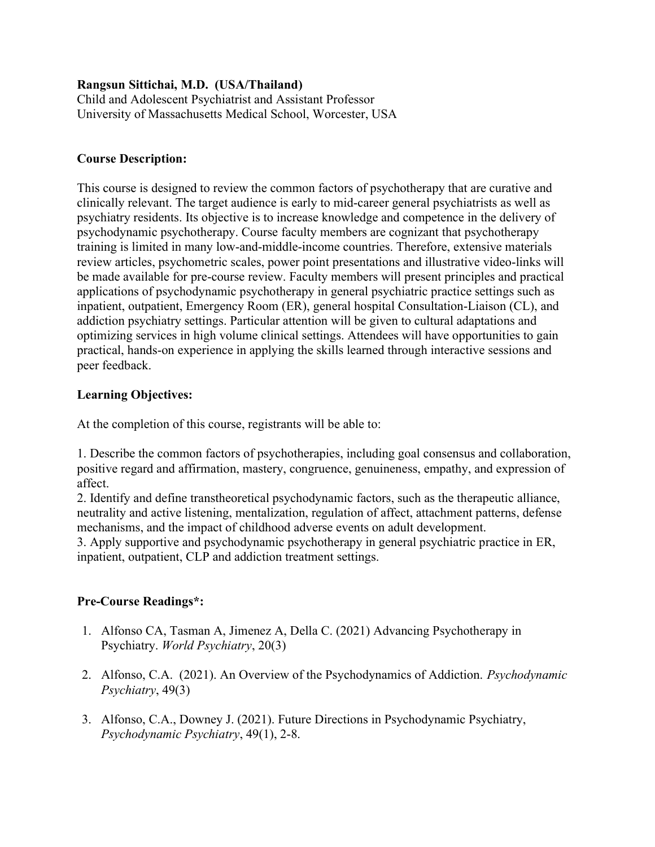#### Rangsun Sittichai, M.D. (USA/Thailand)

Child and Adolescent Psychiatrist and Assistant Professor University of Massachusetts Medical School, Worcester, USA

# Course Description:

This course is designed to review the common factors of psychotherapy that are curative and clinically relevant. The target audience is early to mid-career general psychiatrists as well as psychiatry residents. Its objective is to increase knowledge and competence in the delivery of psychodynamic psychotherapy. Course faculty members are cognizant that psychotherapy training is limited in many low-and-middle-income countries. Therefore, extensive materials review articles, psychometric scales, power point presentations and illustrative video-links will be made available for pre-course review. Faculty members will present principles and practical applications of psychodynamic psychotherapy in general psychiatric practice settings such as inpatient, outpatient, Emergency Room (ER), general hospital Consultation-Liaison (CL), and addiction psychiatry settings. Particular attention will be given to cultural adaptations and optimizing services in high volume clinical settings. Attendees will have opportunities to gain practical, hands-on experience in applying the skills learned through interactive sessions and peer feedback.

# Learning Objectives:

At the completion of this course, registrants will be able to:

1. Describe the common factors of psychotherapies, including goal consensus and collaboration, positive regard and affirmation, mastery, congruence, genuineness, empathy, and expression of affect.

2. Identify and define transtheoretical psychodynamic factors, such as the therapeutic alliance, neutrality and active listening, mentalization, regulation of affect, attachment patterns, defense mechanisms, and the impact of childhood adverse events on adult development.

3. Apply supportive and psychodynamic psychotherapy in general psychiatric practice in ER, inpatient, outpatient, CLP and addiction treatment settings.

# Pre-Course Readings\*:

- 1. Alfonso CA, Tasman A, Jimenez A, Della C. (2021) Advancing Psychotherapy in Psychiatry. World Psychiatry, 20(3)
- 2. Alfonso, C.A. (2021). An Overview of the Psychodynamics of Addiction. Psychodynamic Psychiatry, 49(3)
- 3. Alfonso, C.A., Downey J. (2021). Future Directions in Psychodynamic Psychiatry, Psychodynamic Psychiatry, 49(1), 2-8.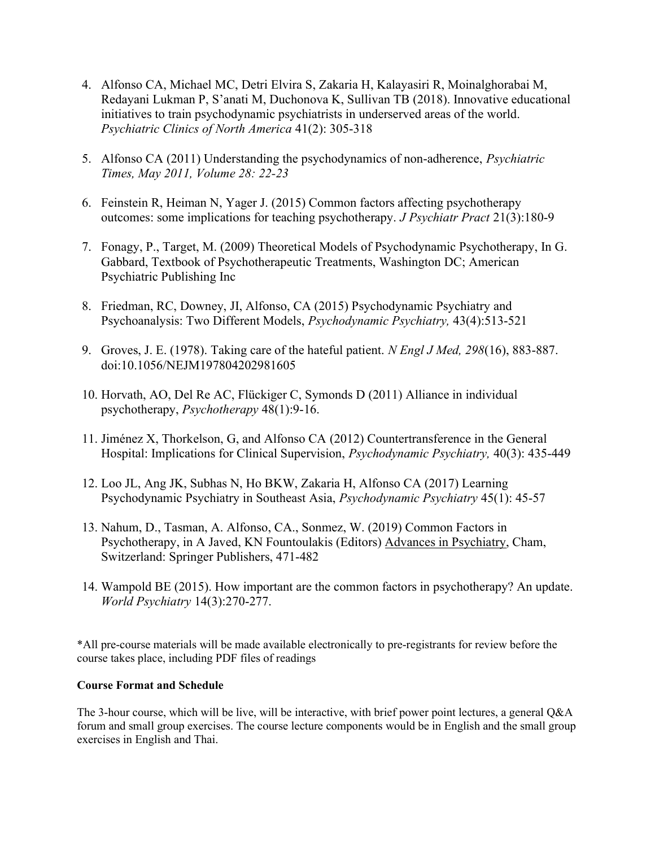- 4. Alfonso CA, Michael MC, Detri Elvira S, Zakaria H, Kalayasiri R, Moinalghorabai M, Redayani Lukman P, S'anati M, Duchonova K, Sullivan TB (2018). Innovative educational initiatives to train psychodynamic psychiatrists in underserved areas of the world. Psychiatric Clinics of North America 41(2): 305-318
- 5. Alfonso CA (2011) Understanding the psychodynamics of non-adherence, Psychiatric Times, May 2011, Volume 28: 22-23
- 6. Feinstein R, Heiman N, Yager J. (2015) Common factors affecting psychotherapy outcomes: some implications for teaching psychotherapy. J Psychiatr Pract 21(3):180-9
- 7. Fonagy, P., Target, M. (2009) Theoretical Models of Psychodynamic Psychotherapy, In G. Gabbard, Textbook of Psychotherapeutic Treatments, Washington DC; American Psychiatric Publishing Inc
- 8. Friedman, RC, Downey, JI, Alfonso, CA (2015) Psychodynamic Psychiatry and Psychoanalysis: Two Different Models, Psychodynamic Psychiatry, 43(4):513-521
- 9. Groves, J. E. (1978). Taking care of the hateful patient. N Engl J Med, 298(16), 883-887. doi:10.1056/NEJM197804202981605
- 10. Horvath, AO, Del Re AC, Flückiger C, Symonds D (2011) Alliance in individual psychotherapy, Psychotherapy 48(1):9-16.
- 11. Jiménez X, Thorkelson, G, and Alfonso CA (2012) Countertransference in the General Hospital: Implications for Clinical Supervision, Psychodynamic Psychiatry, 40(3): 435-449
- 12. Loo JL, Ang JK, Subhas N, Ho BKW, Zakaria H, Alfonso CA (2017) Learning Psychodynamic Psychiatry in Southeast Asia, Psychodynamic Psychiatry 45(1): 45-57
- 13. Nahum, D., Tasman, A. Alfonso, CA., Sonmez, W. (2019) Common Factors in Psychotherapy, in A Javed, KN Fountoulakis (Editors) Advances in Psychiatry, Cham, Switzerland: Springer Publishers, 471-482
- 14. Wampold BE (2015). How important are the common factors in psychotherapy? An update. World Psychiatry 14(3):270-277.

\*All pre-course materials will be made available electronically to pre-registrants for review before the course takes place, including PDF files of readings

#### Course Format and Schedule

The 3-hour course, which will be live, will be interactive, with brief power point lectures, a general Q&A forum and small group exercises. The course lecture components would be in English and the small group exercises in English and Thai.